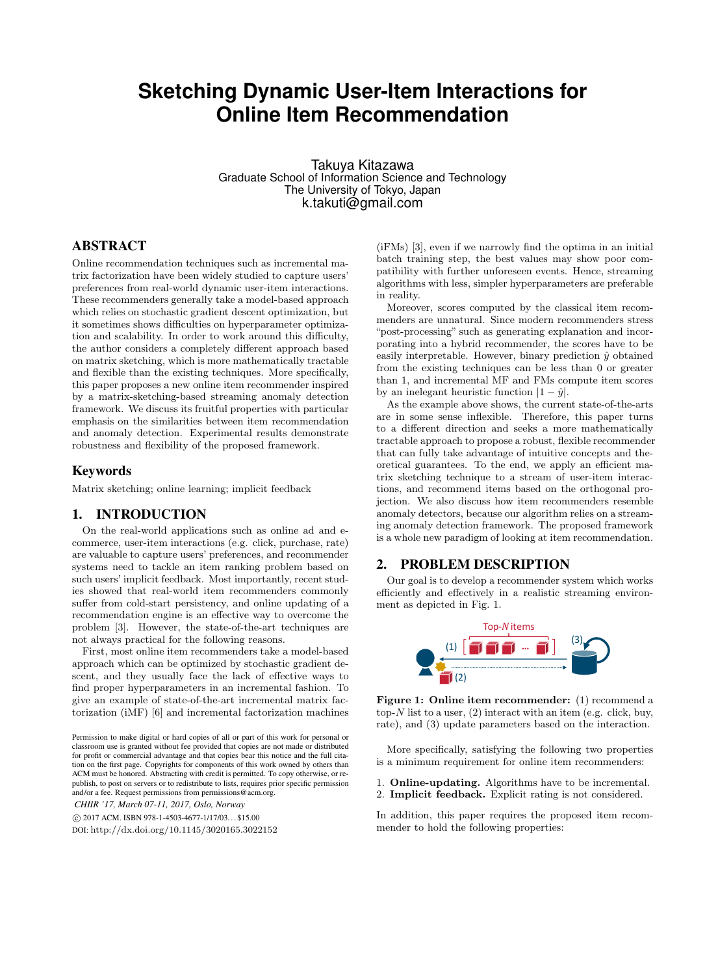# **Sketching Dynamic User-Item Interactions for Online Item Recommendation**

Takuya Kitazawa Graduate School of Information Science and Technology The University of Tokyo, Japan k.takuti@gmail.com

# ABSTRACT

Online recommendation techniques such as incremental matrix factorization have been widely studied to capture users' preferences from real-world dynamic user-item interactions. These recommenders generally take a model-based approach which relies on stochastic gradient descent optimization, but it sometimes shows difficulties on hyperparameter optimization and scalability. In order to work around this difficulty, the author considers a completely different approach based on matrix sketching, which is more mathematically tractable and flexible than the existing techniques. More specifically, this paper proposes a new online item recommender inspired by a matrix-sketching-based streaming anomaly detection framework. We discuss its fruitful properties with particular emphasis on the similarities between item recommendation and anomaly detection. Experimental results demonstrate robustness and flexibility of the proposed framework.

#### Keywords

Matrix sketching; online learning; implicit feedback

## 1. INTRODUCTION

On the real-world applications such as online ad and ecommerce, user-item interactions (e.g. click, purchase, rate) are valuable to capture users' preferences, and recommender systems need to tackle an item ranking problem based on such users' implicit feedback. Most importantly, recent studies showed that real-world item recommenders commonly suffer from cold-start persistency, and online updating of a recommendation engine is an effective way to overcome the problem [3]. However, the state-of-the-art techniques are not always practical for the following reasons.

First, most online item recommenders take a model-based approach which can be optimized by stochastic gradient descent, and they usually face the lack of effective ways to find proper hyperparameters in an incremental fashion. To give an example of state-of-the-art incremental matrix factorization (iMF) [6] and incremental factorization machines

*CHIIR '17, March 07-11, 2017, Oslo, Norway*

DOI: http://dx.doi.org/10.1145/3020165.3022152

(iFMs) [3], even if we narrowly find the optima in an initial batch training step, the best values may show poor compatibility with further unforeseen events. Hence, streaming algorithms with less, simpler hyperparameters are preferable in reality.

Moreover, scores computed by the classical item recommenders are unnatural. Since modern recommenders stress "post-processing" such as generating explanation and incorporating into a hybrid recommender, the scores have to be easily interpretable. However, binary prediction  $\hat{y}$  obtained from the existing techniques can be less than 0 or greater than 1, and incremental MF and FMs compute item scores by an inelegant heuristic function  $|1 - \hat{y}|$ .

As the example above shows, the current state-of-the-arts are in some sense inflexible. Therefore, this paper turns to a different direction and seeks a more mathematically tractable approach to propose a robust, flexible recommender that can fully take advantage of intuitive concepts and theoretical guarantees. To the end, we apply an efficient matrix sketching technique to a stream of user-item interactions, and recommend items based on the orthogonal projection. We also discuss how item recommenders resemble anomaly detectors, because our algorithm relies on a streaming anomaly detection framework. The proposed framework is a whole new paradigm of looking at item recommendation.

#### 2. PROBLEM DESCRIPTION

Our goal is to develop a recommender system which works efficiently and effectively in a realistic streaming environment as depicted in Fig. 1.



**Figure 1: Online item recommender:** (1) recommend a top-*N* list to a user, (2) interact with an item (e.g. click, buy, rate), and (3) update parameters based on the interaction.

More specifically, satisfying the following two properties is a minimum requirement for online item recommenders:

- 1. **Online-updating.** Algorithms have to be incremental.
- 2. **Implicit feedback.** Explicit rating is not considered.

In addition, this paper requires the proposed item recommender to hold the following properties:

Permission to make digital or hard copies of all or part of this work for personal or classroom use is granted without fee provided that copies are not made or distributed for profit or commercial advantage and that copies bear this notice and the full citation on the first page. Copyrights for components of this work owned by others than ACM must be honored. Abstracting with credit is permitted. To copy otherwise, or republish, to post on servers or to redistribute to lists, requires prior specific permission and/or a fee. Request permissions from permissions@acm.org.

*<sup>⃝</sup>*c 2017 ACM. ISBN 978-1-4503-4677-1/17/03. . . \$15.00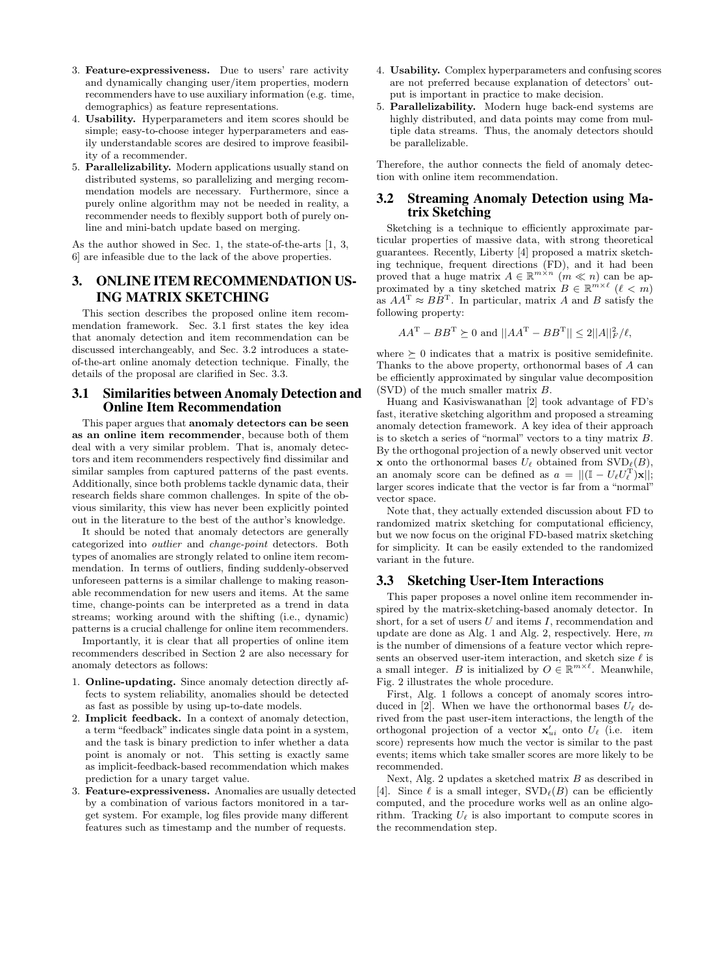- 3. **Feature-expressiveness.** Due to users' rare activity and dynamically changing user/item properties, modern recommenders have to use auxiliary information (e.g. time, demographics) as feature representations.
- 4. **Usability.** Hyperparameters and item scores should be simple; easy-to-choose integer hyperparameters and easily understandable scores are desired to improve feasibility of a recommender.
- 5. **Parallelizability.** Modern applications usually stand on distributed systems, so parallelizing and merging recommendation models are necessary. Furthermore, since a purely online algorithm may not be needed in reality, a recommender needs to flexibly support both of purely online and mini-batch update based on merging.

As the author showed in Sec. 1, the state-of-the-arts [1, 3, 6] are infeasible due to the lack of the above properties.

# 3. ONLINE ITEM RECOMMENDATION US-ING MATRIX SKETCHING

This section describes the proposed online item recommendation framework. Sec. 3.1 first states the key idea that anomaly detection and item recommendation can be discussed interchangeably, and Sec. 3.2 introduces a stateof-the-art online anomaly detection technique. Finally, the details of the proposal are clarified in Sec. 3.3.

#### 3.1 Similarities between Anomaly Detection and Online Item Recommendation

This paper argues that **anomaly detectors can be seen as an online item recommender**, because both of them deal with a very similar problem. That is, anomaly detectors and item recommenders respectively find dissimilar and similar samples from captured patterns of the past events. Additionally, since both problems tackle dynamic data, their research fields share common challenges. In spite of the obvious similarity, this view has never been explicitly pointed out in the literature to the best of the author's knowledge.

It should be noted that anomaly detectors are generally categorized into *outlier* and *change-point* detectors. Both types of anomalies are strongly related to online item recommendation. In terms of outliers, finding suddenly-observed unforeseen patterns is a similar challenge to making reasonable recommendation for new users and items. At the same time, change-points can be interpreted as a trend in data streams; working around with the shifting (i.e., dynamic) patterns is a crucial challenge for online item recommenders.

Importantly, it is clear that all properties of online item recommenders described in Section 2 are also necessary for anomaly detectors as follows:

- 1. **Online-updating.** Since anomaly detection directly affects to system reliability, anomalies should be detected as fast as possible by using up-to-date models.
- 2. **Implicit feedback.** In a context of anomaly detection, a term "feedback" indicates single data point in a system, and the task is binary prediction to infer whether a data point is anomaly or not. This setting is exactly same as implicit-feedback-based recommendation which makes prediction for a unary target value.
- 3. **Feature-expressiveness.** Anomalies are usually detected by a combination of various factors monitored in a target system. For example, log files provide many different features such as timestamp and the number of requests.
- 4. **Usability.** Complex hyperparameters and confusing scores are not preferred because explanation of detectors' output is important in practice to make decision.
- 5. **Parallelizability.** Modern huge back-end systems are highly distributed, and data points may come from multiple data streams. Thus, the anomaly detectors should be parallelizable.

Therefore, the author connects the field of anomaly detection with online item recommendation.

### 3.2 Streaming Anomaly Detection using Matrix Sketching

Sketching is a technique to efficiently approximate particular properties of massive data, with strong theoretical guarantees. Recently, Liberty [4] proposed a matrix sketching technique, frequent directions (FD), and it had been proved that a huge matrix  $A \in \mathbb{R}^{m \times n}$  ( $m \ll n$ ) can be approximated by a tiny sketched matrix  $B \in \mathbb{R}^{m \times \ell}$  ( $\ell < m$ ) as  $AA^T \approx BB^T$ . In particular, matrix *A* and *B* satisfy the following property:

$$
AA^{\text{T}} - BB^{\text{T}} \succeq 0
$$
 and  $||AA^{\text{T}} - BB^{\text{T}}|| \le 2||A||_F^2 / \ell$ ,

where  $\succeq$  0 indicates that a matrix is positive semidefinite. Thanks to the above property, orthonormal bases of *A* can be efficiently approximated by singular value decomposition (SVD) of the much smaller matrix *B*.

Huang and Kasiviswanathan [2] took advantage of FD's fast, iterative sketching algorithm and proposed a streaming anomaly detection framework. A key idea of their approach is to sketch a series of "normal" vectors to a tiny matrix *B*. By the orthogonal projection of a newly observed unit vector **x** onto the orthonormal bases  $U_{\ell}$  obtained from  $SVD_{\ell}(B)$ , an anomaly score can be defined as  $a = ||(\mathbb{I} - U_{\ell}U_{\ell}^{T})\mathbf{x}||$ ; larger scores indicate that the vector is far from a "normal" vector space.

Note that, they actually extended discussion about FD to randomized matrix sketching for computational efficiency, but we now focus on the original FD-based matrix sketching for simplicity. It can be easily extended to the randomized variant in the future.

#### 3.3 Sketching User-Item Interactions

This paper proposes a novel online item recommender inspired by the matrix-sketching-based anomaly detector. In short, for a set of users *U* and items *I*, recommendation and update are done as Alg. 1 and Alg. 2, respectively. Here, *m* is the number of dimensions of a feature vector which represents an observed user-item interaction, and sketch size *ℓ* is a small integer. *B* is initialized by  $O \in \mathbb{R}^{m \times \ell}$ . Meanwhile, Fig. 2 illustrates the whole procedure.

First, Alg. 1 follows a concept of anomaly scores introduced in [2]. When we have the orthonormal bases  $U_{\ell}$  derived from the past user-item interactions, the length of the orthogonal projection of a vector  $\mathbf{x}'_{ui}$  onto  $U_{\ell}$  (i.e. item score) represents how much the vector is similar to the past events; items which take smaller scores are more likely to be recommended.

Next, Alg. 2 updates a sketched matrix *B* as described in [4]. Since  $\ell$  is a small integer,  $SVD_{\ell}(B)$  can be efficiently computed, and the procedure works well as an online algorithm. Tracking  $U_{\ell}$  is also important to compute scores in the recommendation step.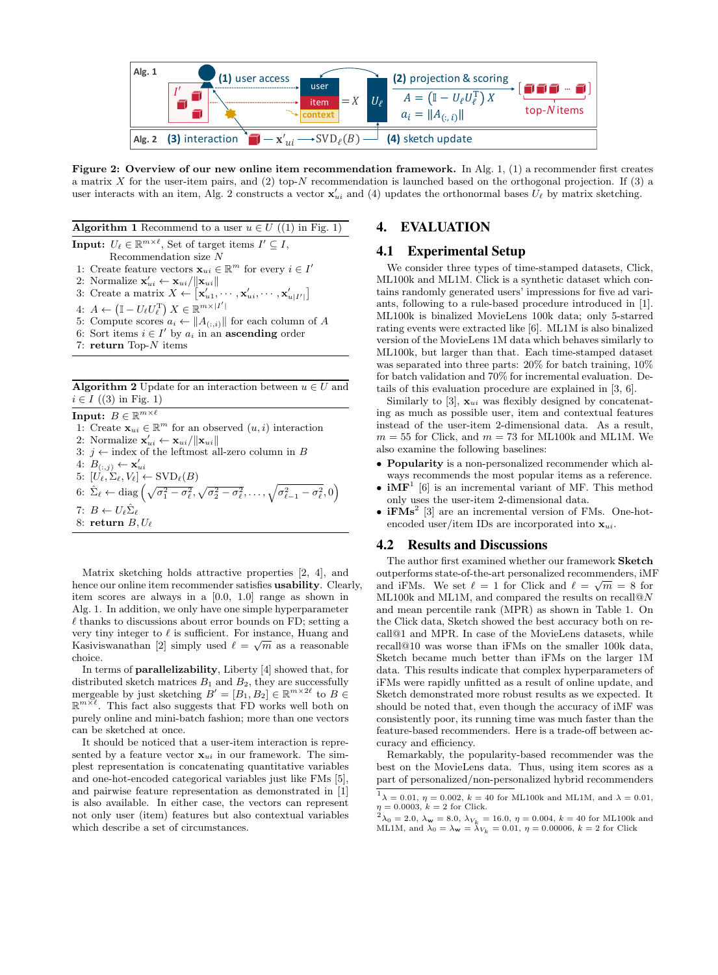

**Figure 2: Overview of our new online item recommendation framework.** In Alg. 1, (1) a recommender first creates a matrix *X* for the user-item pairs, and (2) top-*N* recommendation is launched based on the orthogonal projection. If (3) a user interacts with an item, Alg. 2 constructs a vector  $\mathbf{x}'_{ui}$  and (4) updates the orthonormal bases  $U_{\ell}$  by matrix sketching.

**Algorithm 1** Recommend to a user  $u \in U$  ((1) in Fig. 1) **Input:**  $U_{\ell} \in \mathbb{R}^{m \times \ell}$ , Set of target items  $I' \subseteq I$ , Recommendation size *N* 1: Create feature vectors  $\mathbf{x}_{ui} \in \mathbb{R}^m$  for every  $i \in I'$ 2: Normalize  $\mathbf{x}'_{ui} \leftarrow \mathbf{x}_{ui}/\|\mathbf{x}_{ui}\|$ 3: Create a matrix  $X \leftarrow [\mathbf{x}'_{u1}, \cdots, \mathbf{x}'_{ui}, \cdots, \mathbf{x}'_{u|I'}]$  $A: A \leftarrow (\mathbb{I} - U_{\ell}U_{\ell}^{T}) X \in \mathbb{R}^{m \times |I'|}$ 5: Compute scores  $a_i \leftarrow \|A_{(:,i)}\|$  for each column of *A* 6: Sort items  $i \in I'$  by  $a_i$  in an **ascending** order

7: **return** Top-*N* items

**Algorithm 2** Update for an interaction between  $u \in U$  and  $i \in I$  ((3) in Fig. 1)

 $\textbf{Input: } B \in \mathbb{R}^{m \times \ell}$ 1: Create  $\mathbf{x}_{ui} \in \mathbb{R}^m$  for an observed  $(u, i)$  interaction 2: Normalize  $\mathbf{x}'_{ui} \leftarrow \mathbf{x}_{ui}/\|\mathbf{x}_{ui}\|$ 3:  $j$  ← index of the leftmost all-zero column in *B*  $\mathbf{A}: B_{(:,j)} \leftarrow \mathbf{x}'_{ui}$  $5: [U_{\ell}, \Sigma_{\ell}, V_{\ell}] \leftarrow \text{SVD}_{\ell}(B)$ 6:  $\hat{\Sigma}_{\ell} \leftarrow \text{diag}\left(\sqrt{\sigma_{1}^{2} - \sigma_{\ell}^{2}}, \sqrt{\sigma_{2}^{2} - \sigma_{\ell}^{2}}, \dots, \sqrt{\sigma_{\ell-1}^{2} - \sigma_{\ell}^{2}}, 0\right)$  $7: B \leftarrow U_{\ell} \hat{\Sigma}_{\ell}$ 8: **return** *B, U<sup>ℓ</sup>*

Matrix sketching holds attractive properties [2, 4], and hence our online item recommender satisfies **usability**. Clearly, item scores are always in a [0.0, 1.0] range as shown in Alg. 1. In addition, we only have one simple hyperparameter *ℓ* thanks to discussions about error bounds on FD; setting a very tiny integer to *ℓ* is sufficient. For instance, Huang and Kasiviswanathan [2] simply used  $\ell = \sqrt{m}$  as a reasonable choice.

In terms of **parallelizability**, Liberty [4] showed that, for distributed sketch matrices  $B_1$  and  $B_2$ , they are successfully mergeable by just sketching  $B' = [B_1, B_2] \in \mathbb{R}^{m \times 2\ell}$  to  $B \in \mathbb{R}^{m \times 2\ell}$  $\mathbb{R}^{m \times \ell}$ . This fact also suggests that FD works well both on purely online and mini-batch fashion; more than one vectors can be sketched at once.

It should be noticed that a user-item interaction is represented by a feature vector  $\mathbf{x}_{ui}$  in our framework. The simplest representation is concatenating quantitative variables and one-hot-encoded categorical variables just like FMs [5], and pairwise feature representation as demonstrated in [1] is also available. In either case, the vectors can represent not only user (item) features but also contextual variables which describe a set of circumstances.

## 4. EVALUATION

## 4.1 Experimental Setup

We consider three types of time-stamped datasets, Click, ML100k and ML1M. Click is a synthetic dataset which contains randomly generated users' impressions for five ad variants, following to a rule-based procedure introduced in [1]. ML100k is binalized MovieLens 100k data; only 5-starred rating events were extracted like [6]. ML1M is also binalized version of the MovieLens 1M data which behaves similarly to ML100k, but larger than that. Each time-stamped dataset was separated into three parts: 20% for batch training, 10% for batch validation and 70% for incremental evaluation. Details of this evaluation procedure are explained in [3, 6].

Similarly to [3],  $\mathbf{x}_{ui}$  was flexibly designed by concatenating as much as possible user, item and contextual features instead of the user-item 2-dimensional data. As a result,  $m = 55$  for Click, and  $m = 73$  for ML100k and ML1M. We also examine the following baselines:

- *•* **Popularity** is a non-personalized recommender which always recommends the most popular items as a reference.
- **iMF**<sup>1</sup> [6] is an incremental variant of MF. This method only uses the user-item 2-dimensional data.
- *•* **iFMs**<sup>2</sup> [3] are an incremental version of FMs. One-hotencoded user/item IDs are incorporated into **x***ui*.

#### 4.2 Results and Discussions

The author first examined whether our framework **Sketch** outperforms state-of-the-art personalized recommenders, iMF and iFMs. We set  $\ell = 1$  for Click and  $\ell = \sqrt{m} = 8$  for ML100k and ML1M, and compared the results on recall@*N* and mean percentile rank (MPR) as shown in Table 1. On the Click data, Sketch showed the best accuracy both on recall@1 and MPR. In case of the MovieLens datasets, while recall@10 was worse than iFMs on the smaller 100k data, Sketch became much better than iFMs on the larger 1M data. This results indicate that complex hyperparameters of iFMs were rapidly unfitted as a result of online update, and Sketch demonstrated more robust results as we expected. It should be noted that, even though the accuracy of iMF was consistently poor, its running time was much faster than the feature-based recommenders. Here is a trade-off between accuracy and efficiency.

Remarkably, the popularity-based recommender was the best on the MovieLens data. Thus, using item scores as a part of personalized/non-personalized hybrid recommenders

<sup>&</sup>lt;sup>1</sup>λ = 0.01, *η* = 0.002, *k* = 40 for ML100k and ML1M, and λ = 0.01,

 $\eta=0.0003,\,k=2$  for Click.<br> $^2\lambda_0=2.0,\,\lambda_{\mathbf{w}}=8.0,\,\lambda_{V_k}=16.0,\,\eta=0.004,\,k=40$  for ML100k and ML1M, and  $\lambda_0=\lambda_{\mathbf{w}}=\lambda_{V_k}=0.01,\,\eta=0.00006,\,k=2$  for Click